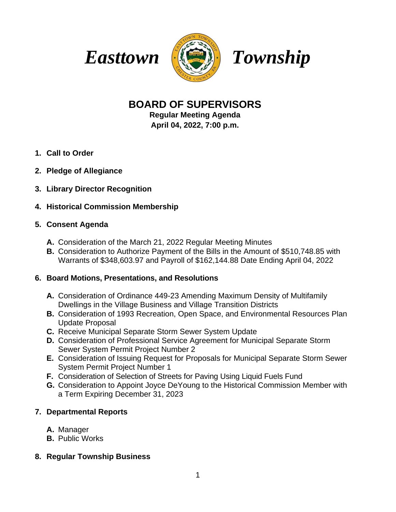



# **BOARD OF SUPERVISORS**

**Regular Meeting Agenda April 04, 2022, 7:00 p.m.**

- **1. Call to Order**
- **2. Pledge of Allegiance**
- **3. Library Director Recognition**

## **4. Historical Commission Membership**

### **5. Consent Agenda**

- **A.** Consideration of the March 21, 2022 Regular Meeting Minutes
- **B.** Consideration to Authorize Payment of the Bills in the Amount of \$510,748.85 with Warrants of \$348,603.97 and Payroll of \$162,144.88 Date Ending April 04, 2022

## **6. Board Motions, Presentations, and Resolutions**

- **A.** Consideration of Ordinance 449-23 Amending Maximum Density of Multifamily Dwellings in the Village Business and Village Transition Districts
- **B.** Consideration of 1993 Recreation, Open Space, and Environmental Resources Plan Update Proposal
- **C.** Receive Municipal Separate Storm Sewer System Update
- **D.** Consideration of Professional Service Agreement for Municipal Separate Storm Sewer System Permit Project Number 2
- **E.** Consideration of Issuing Request for Proposals for Municipal Separate Storm Sewer System Permit Project Number 1
- **F.** Consideration of Selection of Streets for Paving Using Liquid Fuels Fund
- **G.** Consideration to Appoint Joyce DeYoung to the Historical Commission Member with a Term Expiring December 31, 2023

# **7. Departmental Reports**

- **A.** Manager
- **B.** Public Works
- **8. Regular Township Business**